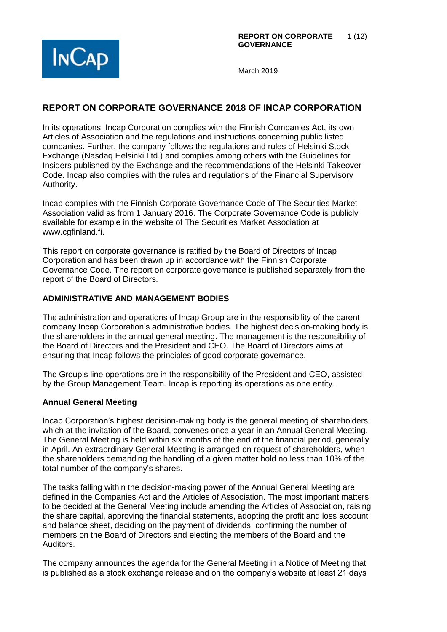

# **REPORT ON CORPORATE GOVERNANCE 2018 OF INCAP CORPORATION**

In its operations, Incap Corporation complies with the Finnish Companies Act, its own Articles of Association and the regulations and instructions concerning public listed companies. Further, the company follows the regulations and rules of Helsinki Stock Exchange (Nasdaq Helsinki Ltd.) and complies among others with the Guidelines for Insiders published by the Exchange and the recommendations of the Helsinki Takeover Code. Incap also complies with the rules and regulations of the Financial Supervisory Authority.

Incap complies with the Finnish Corporate Governance Code of The Securities Market Association valid as from 1 January 2016. The Corporate Governance Code is publicly available for example in the website of The Securities Market Association at www.cgfinland.fi.

This report on corporate governance is ratified by the Board of Directors of Incap Corporation and has been drawn up in accordance with the Finnish Corporate Governance Code. The report on corporate governance is published separately from the report of the Board of Directors.

# **ADMINISTRATIVE AND MANAGEMENT BODIES**

The administration and operations of Incap Group are in the responsibility of the parent company Incap Corporation's administrative bodies. The highest decision-making body is the shareholders in the annual general meeting. The management is the responsibility of the Board of Directors and the President and CEO. The Board of Directors aims at ensuring that Incap follows the principles of good corporate governance.

The Group's line operations are in the responsibility of the President and CEO, assisted by the Group Management Team. Incap is reporting its operations as one entity.

#### **Annual General Meeting**

Incap Corporation's highest decision-making body is the general meeting of shareholders, which at the invitation of the Board, convenes once a year in an Annual General Meeting. The General Meeting is held within six months of the end of the financial period, generally in April. An extraordinary General Meeting is arranged on request of shareholders, when the shareholders demanding the handling of a given matter hold no less than 10% of the total number of the company's shares.

The tasks falling within the decision-making power of the Annual General Meeting are defined in the Companies Act and the Articles of Association. The most important matters to be decided at the General Meeting include amending the Articles of Association, raising the share capital, approving the financial statements, adopting the profit and loss account and balance sheet, deciding on the payment of dividends, confirming the number of members on the Board of Directors and electing the members of the Board and the Auditors.

The company announces the agenda for the General Meeting in a Notice of Meeting that is published as a stock exchange release and on the company's website at least 21 days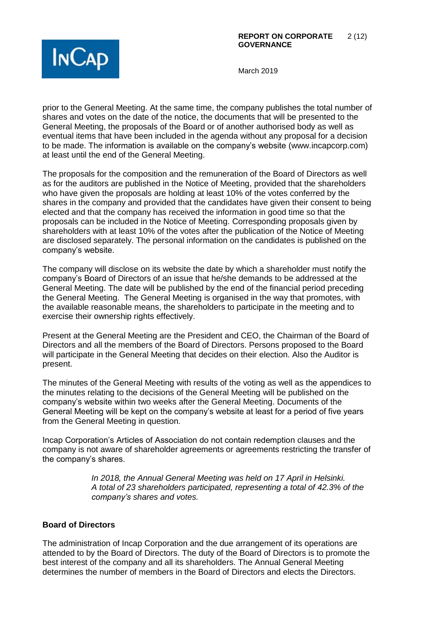

prior to the General Meeting. At the same time, the company publishes the total number of shares and votes on the date of the notice, the documents that will be presented to the General Meeting, the proposals of the Board or of another authorised body as well as eventual items that have been included in the agenda without any proposal for a decision to be made. The information is available on the company's website (www.incapcorp.com) at least until the end of the General Meeting.

The proposals for the composition and the remuneration of the Board of Directors as well as for the auditors are published in the Notice of Meeting, provided that the shareholders who have given the proposals are holding at least 10% of the votes conferred by the shares in the company and provided that the candidates have given their consent to being elected and that the company has received the information in good time so that the proposals can be included in the Notice of Meeting. Corresponding proposals given by shareholders with at least 10% of the votes after the publication of the Notice of Meeting are disclosed separately. The personal information on the candidates is published on the company's website.

The company will disclose on its website the date by which a shareholder must notify the company's Board of Directors of an issue that he/she demands to be addressed at the General Meeting. The date will be published by the end of the financial period preceding the General Meeting. The General Meeting is organised in the way that promotes, with the available reasonable means, the shareholders to participate in the meeting and to exercise their ownership rights effectively.

Present at the General Meeting are the President and CEO, the Chairman of the Board of Directors and all the members of the Board of Directors. Persons proposed to the Board will participate in the General Meeting that decides on their election. Also the Auditor is present.

The minutes of the General Meeting with results of the voting as well as the appendices to the minutes relating to the decisions of the General Meeting will be published on the company's website within two weeks after the General Meeting. Documents of the General Meeting will be kept on the company's website at least for a period of five years from the General Meeting in question.

Incap Corporation's Articles of Association do not contain redemption clauses and the company is not aware of shareholder agreements or agreements restricting the transfer of the company's shares.

> *In 2018, the Annual General Meeting was held on 17 April in Helsinki. A total of 23 shareholders participated, representing a total of 42.3% of the company's shares and votes.*

# **Board of Directors**

The administration of Incap Corporation and the due arrangement of its operations are attended to by the Board of Directors. The duty of the Board of Directors is to promote the best interest of the company and all its shareholders. The Annual General Meeting determines the number of members in the Board of Directors and elects the Directors.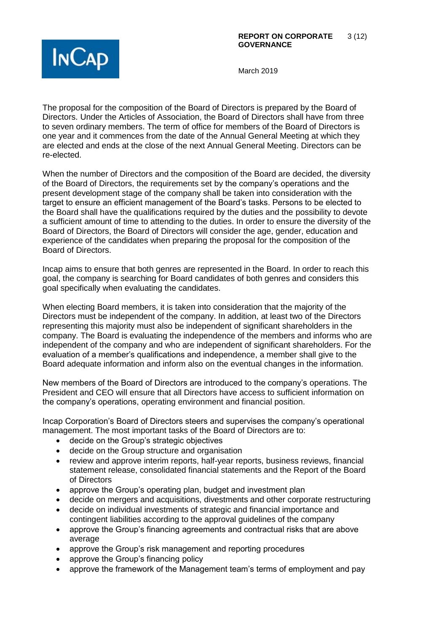

The proposal for the composition of the Board of Directors is prepared by the Board of Directors. Under the Articles of Association, the Board of Directors shall have from three to seven ordinary members. The term of office for members of the Board of Directors is one year and it commences from the date of the Annual General Meeting at which they are elected and ends at the close of the next Annual General Meeting. Directors can be re-elected.

When the number of Directors and the composition of the Board are decided, the diversity of the Board of Directors, the requirements set by the company's operations and the present development stage of the company shall be taken into consideration with the target to ensure an efficient management of the Board's tasks. Persons to be elected to the Board shall have the qualifications required by the duties and the possibility to devote a sufficient amount of time to attending to the duties. In order to ensure the diversity of the Board of Directors, the Board of Directors will consider the age, gender, education and experience of the candidates when preparing the proposal for the composition of the Board of Directors.

Incap aims to ensure that both genres are represented in the Board. In order to reach this goal, the company is searching for Board candidates of both genres and considers this goal specifically when evaluating the candidates.

When electing Board members, it is taken into consideration that the majority of the Directors must be independent of the company. In addition, at least two of the Directors representing this majority must also be independent of significant shareholders in the company. The Board is evaluating the independence of the members and informs who are independent of the company and who are independent of significant shareholders. For the evaluation of a member's qualifications and independence, a member shall give to the Board adequate information and inform also on the eventual changes in the information.

New members of the Board of Directors are introduced to the company's operations. The President and CEO will ensure that all Directors have access to sufficient information on the company's operations, operating environment and financial position.

Incap Corporation's Board of Directors steers and supervises the company's operational management. The most important tasks of the Board of Directors are to:

- decide on the Group's strategic objectives
- decide on the Group structure and organisation
- review and approve interim reports, half-year reports, business reviews, financial statement release, consolidated financial statements and the Report of the Board of Directors
- approve the Group's operating plan, budget and investment plan
- decide on mergers and acquisitions, divestments and other corporate restructuring
- decide on individual investments of strategic and financial importance and contingent liabilities according to the approval guidelines of the company
- approve the Group's financing agreements and contractual risks that are above average
- approve the Group's risk management and reporting procedures
- approve the Group's financing policy
- approve the framework of the Management team's terms of employment and pay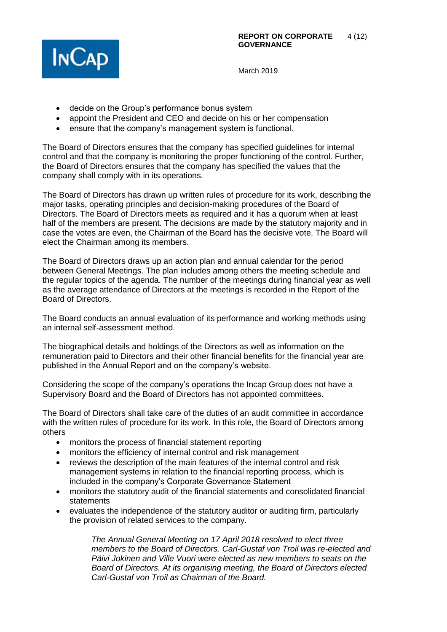

- decide on the Group's performance bonus system
- appoint the President and CEO and decide on his or her compensation
- ensure that the company's management system is functional.

The Board of Directors ensures that the company has specified guidelines for internal control and that the company is monitoring the proper functioning of the control. Further, the Board of Directors ensures that the company has specified the values that the company shall comply with in its operations.

The Board of Directors has drawn up written rules of procedure for its work, describing the major tasks, operating principles and decision-making procedures of the Board of Directors. The Board of Directors meets as required and it has a quorum when at least half of the members are present. The decisions are made by the statutory majority and in case the votes are even, the Chairman of the Board has the decisive vote. The Board will elect the Chairman among its members.

The Board of Directors draws up an action plan and annual calendar for the period between General Meetings. The plan includes among others the meeting schedule and the regular topics of the agenda. The number of the meetings during financial year as well as the average attendance of Directors at the meetings is recorded in the Report of the Board of Directors.

The Board conducts an annual evaluation of its performance and working methods using an internal self-assessment method.

The biographical details and holdings of the Directors as well as information on the remuneration paid to Directors and their other financial benefits for the financial year are published in the Annual Report and on the company's website.

Considering the scope of the company's operations the Incap Group does not have a Supervisory Board and the Board of Directors has not appointed committees.

The Board of Directors shall take care of the duties of an audit committee in accordance with the written rules of procedure for its work. In this role, the Board of Directors among others

- monitors the process of financial statement reporting
- monitors the efficiency of internal control and risk management
- reviews the description of the main features of the internal control and risk management systems in relation to the financial reporting process, which is included in the company's Corporate Governance Statement
- monitors the statutory audit of the financial statements and consolidated financial statements
- evaluates the independence of the statutory auditor or auditing firm, particularly the provision of related services to the company.

*The Annual General Meeting on 17 April 2018 resolved to elect three members to the Board of Directors. Carl-Gustaf von Troil was re-elected and Päivi Jokinen and Ville Vuori were elected as new members to seats on the Board of Directors. At its organising meeting, the Board of Directors elected Carl-Gustaf von Troil as Chairman of the Board.*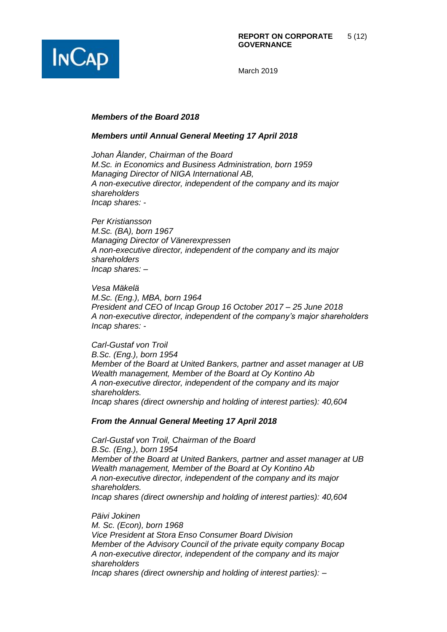

#### *Members of the Board 2018*

#### *Members until Annual General Meeting 17 April 2018*

*Johan Ålander, Chairman of the Board M.Sc. in Economics and Business Administration, born 1959 Managing Director of NIGA International AB, A non-executive director, independent of the company and its major shareholders Incap shares: -*

*Per Kristiansson M.Sc. (BA), born 1967 Managing Director of Vänerexpressen A non-executive director, independent of the company and its major shareholders Incap shares: –*

*Vesa Mäkelä M.Sc. (Eng.), MBA, born 1964 President and CEO of Incap Group 16 October 2017 – 25 June 2018 A non-executive director, independent of the company's major shareholders Incap shares: -*

*Carl-Gustaf von Troil B.Sc. (Eng.), born 1954 Member of the Board at United Bankers, partner and asset manager at UB Wealth management, Member of the Board at Oy Kontino Ab A non-executive director, independent of the company and its major shareholders. Incap shares (direct ownership and holding of interest parties): 40,604* 

#### *From the Annual General Meeting 17 April 2018*

*Carl-Gustaf von Troil, Chairman of the Board B.Sc. (Eng.), born 1954 Member of the Board at United Bankers, partner and asset manager at UB Wealth management, Member of the Board at Oy Kontino Ab A non-executive director, independent of the company and its major shareholders. Incap shares (direct ownership and holding of interest parties): 40,604*

*Päivi Jokinen M. Sc. (Econ), born 1968 Vice President at Stora Enso Consumer Board Division Member of the Advisory Council of the private equity company Bocap A non-executive director, independent of the company and its major shareholders Incap shares (direct ownership and holding of interest parties): –*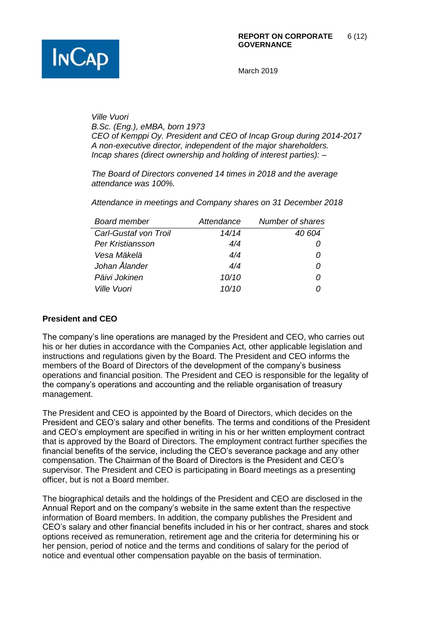

*Ville Vuori B.Sc. (Eng.), eMBA, born 1973 CEO of Kemppi Oy. President and CEO of Incap Group during 2014-2017 A non-executive director, independent of the major shareholders. Incap shares (direct ownership and holding of interest parties): –*

*The Board of Directors convened 14 times in 2018 and the average attendance was 100%.*

*Attendance in meetings and Company shares on 31 December 2018*

| <b>Board member</b>       | Attendance | Number of shares |
|---------------------------|------------|------------------|
| Carl-Gustaf von Troil     | 14/14      | 40 604           |
| Per Kristiansson          | 4/4        |                  |
| Vesa Mäkelä               | 4/4        |                  |
| Johan Ålander             | 4/4        | 0                |
| Päivi Jokinen             | 10/10      | O                |
| <i><b>Ville Vuori</b></i> | 10/10      |                  |

# **President and CEO**

The company's line operations are managed by the President and CEO, who carries out his or her duties in accordance with the Companies Act, other applicable legislation and instructions and regulations given by the Board. The President and CEO informs the members of the Board of Directors of the development of the company's business operations and financial position. The President and CEO is responsible for the legality of the company's operations and accounting and the reliable organisation of treasury management.

The President and CEO is appointed by the Board of Directors, which decides on the President and CEO's salary and other benefits. The terms and conditions of the President and CEO's employment are specified in writing in his or her written employment contract that is approved by the Board of Directors. The employment contract further specifies the financial benefits of the service, including the CEO's severance package and any other compensation. The Chairman of the Board of Directors is the President and CEO's supervisor. The President and CEO is participating in Board meetings as a presenting officer, but is not a Board member.

The biographical details and the holdings of the President and CEO are disclosed in the Annual Report and on the company's website in the same extent than the respective information of Board members. In addition, the company publishes the President and CEO's salary and other financial benefits included in his or her contract, shares and stock options received as remuneration, retirement age and the criteria for determining his or her pension, period of notice and the terms and conditions of salary for the period of notice and eventual other compensation payable on the basis of termination.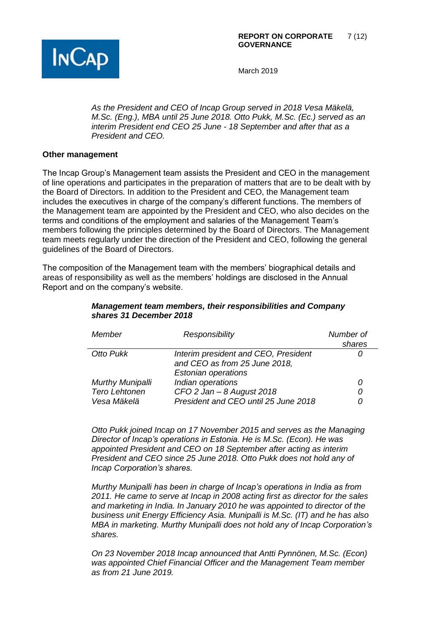

*As the President and CEO of Incap Group served in 2018 Vesa Mäkelä, M.Sc. (Eng.), MBA until 25 June 2018. Otto Pukk, M.Sc. (Ec.) served as an interim President end CEO 25 June - 18 September and after that as a President and CEO.* 

### **Other management**

The Incap Group's Management team assists the President and CEO in the management of line operations and participates in the preparation of matters that are to be dealt with by the Board of Directors. In addition to the President and CEO, the Management team includes the executives in charge of the company's different functions. The members of the Management team are appointed by the President and CEO, who also decides on the terms and conditions of the employment and salaries of the Management Team's members following the principles determined by the Board of Directors. The Management team meets regularly under the direction of the President and CEO, following the general guidelines of the Board of Directors.

The composition of the Management team with the members' biographical details and areas of responsibility as well as the members' holdings are disclosed in the Annual Report and on the company's website.

# *Management team members, their responsibilities and Company shares 31 December 2018*

| Member                  | Responsibility                       | Number of<br>shares |
|-------------------------|--------------------------------------|---------------------|
| Otto Pukk               | Interim president and CEO, President |                     |
|                         | and CEO as from 25 June 2018,        |                     |
|                         | <b>Estonian operations</b>           |                     |
| <b>Murthy Munipalli</b> | Indian operations                    | 0                   |
| Tero Lehtonen           | CFO 2 Jan $-$ 8 August 2018          | 0                   |
| Vesa Mäkelä             | President and CEO until 25 June 2018 | 0                   |

*Otto Pukk joined Incap on 17 November 2015 and serves as the Managing Director of Incap's operations in Estonia. He is M.Sc. (Econ). He was appointed President and CEO on 18 September after acting as interim President and CEO since 25 June 2018. Otto Pukk does not hold any of Incap Corporation's shares.* 

*Murthy Munipalli has been in charge of Incap's operations in India as from 2011. He came to serve at Incap in 2008 acting first as director for the sales and marketing in India. In January 2010 he was appointed to director of the business unit Energy Efficiency Asia. Munipalli is M.Sc. (IT) and he has also MBA in marketing. Murthy Munipalli does not hold any of Incap Corporation's shares.* 

*On 23 November 2018 Incap announced that Antti Pynnönen, M.Sc. (Econ) was appointed Chief Financial Officer and the Management Team member as from 21 June 2019.*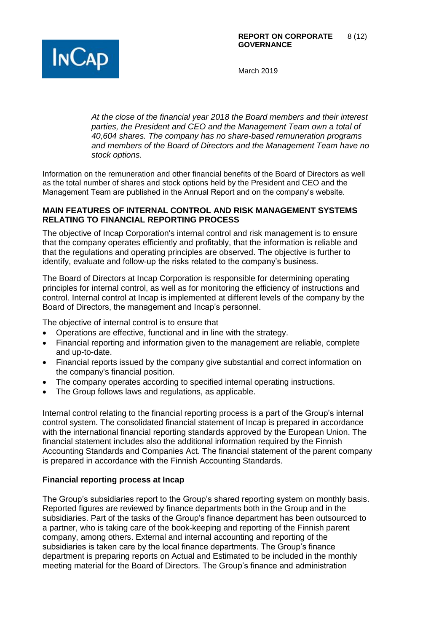

*At the close of the financial year 2018 the Board members and their interest parties, the President and CEO and the Management Team own a total of 40,604 shares. The company has no share-based remuneration programs and members of the Board of Directors and the Management Team have no stock options.*

Information on the remuneration and other financial benefits of the Board of Directors as well as the total number of shares and stock options held by the President and CEO and the Management Team are published in the Annual Report and on the company's website.

## **MAIN FEATURES OF INTERNAL CONTROL AND RISK MANAGEMENT SYSTEMS RELATING TO FINANCIAL REPORTING PROCESS**

The objective of Incap Corporation's internal control and risk management is to ensure that the company operates efficiently and profitably, that the information is reliable and that the regulations and operating principles are observed. The objective is further to identify, evaluate and follow-up the risks related to the company's business.

The Board of Directors at Incap Corporation is responsible for determining operating principles for internal control, as well as for monitoring the efficiency of instructions and control. Internal control at Incap is implemented at different levels of the company by the Board of Directors, the management and Incap's personnel.

The objective of internal control is to ensure that

- Operations are effective, functional and in line with the strategy.
- Financial reporting and information given to the management are reliable, complete and up-to-date.
- Financial reports issued by the company give substantial and correct information on the company's financial position.
- The company operates according to specified internal operating instructions.
- The Group follows laws and regulations, as applicable.

Internal control relating to the financial reporting process is a part of the Group's internal control system. The consolidated financial statement of Incap is prepared in accordance with the international financial reporting standards approved by the European Union. The financial statement includes also the additional information required by the Finnish Accounting Standards and Companies Act. The financial statement of the parent company is prepared in accordance with the Finnish Accounting Standards.

# **Financial reporting process at Incap**

The Group's subsidiaries report to the Group's shared reporting system on monthly basis. Reported figures are reviewed by finance departments both in the Group and in the subsidiaries. Part of the tasks of the Group's finance department has been outsourced to a partner, who is taking care of the book-keeping and reporting of the Finnish parent company, among others. External and internal accounting and reporting of the subsidiaries is taken care by the local finance departments. The Group's finance department is preparing reports on Actual and Estimated to be included in the monthly meeting material for the Board of Directors. The Group's finance and administration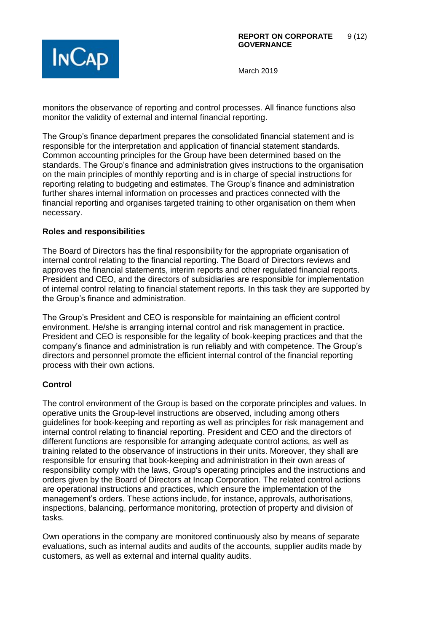

monitors the observance of reporting and control processes. All finance functions also monitor the validity of external and internal financial reporting.

The Group's finance department prepares the consolidated financial statement and is responsible for the interpretation and application of financial statement standards. Common accounting principles for the Group have been determined based on the standards. The Group's finance and administration gives instructions to the organisation on the main principles of monthly reporting and is in charge of special instructions for reporting relating to budgeting and estimates. The Group's finance and administration further shares internal information on processes and practices connected with the financial reporting and organises targeted training to other organisation on them when necessary.

### **Roles and responsibilities**

The Board of Directors has the final responsibility for the appropriate organisation of internal control relating to the financial reporting. The Board of Directors reviews and approves the financial statements, interim reports and other regulated financial reports. President and CEO, and the directors of subsidiaries are responsible for implementation of internal control relating to financial statement reports. In this task they are supported by the Group's finance and administration.

The Group's President and CEO is responsible for maintaining an efficient control environment. He/she is arranging internal control and risk management in practice. President and CEO is responsible for the legality of book-keeping practices and that the company's finance and administration is run reliably and with competence. The Group's directors and personnel promote the efficient internal control of the financial reporting process with their own actions.

# **Control**

The control environment of the Group is based on the corporate principles and values. In operative units the Group-level instructions are observed, including among others guidelines for book-keeping and reporting as well as principles for risk management and internal control relating to financial reporting. President and CEO and the directors of different functions are responsible for arranging adequate control actions, as well as training related to the observance of instructions in their units. Moreover, they shall are responsible for ensuring that book-keeping and administration in their own areas of responsibility comply with the laws, Group's operating principles and the instructions and orders given by the Board of Directors at Incap Corporation. The related control actions are operational instructions and practices, which ensure the implementation of the management's orders. These actions include, for instance, approvals, authorisations, inspections, balancing, performance monitoring, protection of property and division of tasks.

Own operations in the company are monitored continuously also by means of separate evaluations, such as internal audits and audits of the accounts, supplier audits made by customers, as well as external and internal quality audits.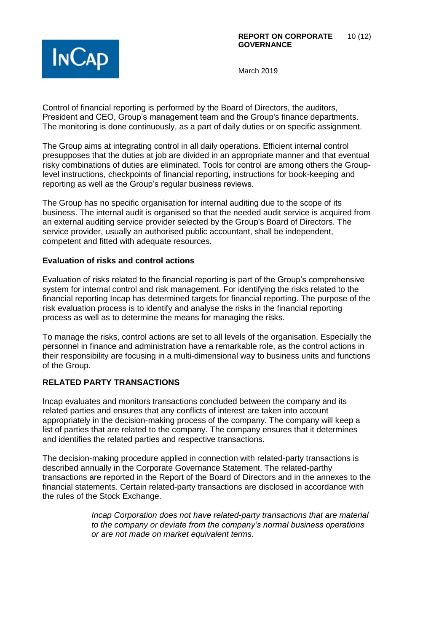

Control of financial reporting is performed by the Board of Directors, the auditors, President and CEO, Group's management team and the Group's finance departments. The monitoring is done continuously, as a part of daily duties or on specific assignment.

The Group aims at integrating control in all daily operations. Efficient internal control presupposes that the duties at job are divided in an appropriate manner and that eventual risky combinations of duties are eliminated. Tools for control are among others the Grouplevel instructions, checkpoints of financial reporting, instructions for book-keeping and reporting as well as the Group's regular business reviews.

The Group has no specific organisation for internal auditing due to the scope of its business. The internal audit is organised so that the needed audit service is acquired from an external auditing service provider selected by the Group's Board of Directors. The service provider, usually an authorised public accountant, shall be independent, competent and fitted with adequate resources.

### **Evaluation of risks and control actions**

Evaluation of risks related to the financial reporting is part of the Group's comprehensive system for internal control and risk management. For identifying the risks related to the financial reporting Incap has determined targets for financial reporting. The purpose of the risk evaluation process is to identify and analyse the risks in the financial reporting process as well as to determine the means for managing the risks.

To manage the risks, control actions are set to all levels of the organisation. Especially the personnel in finance and administration have a remarkable role, as the control actions in their responsibility are focusing in a multi-dimensional way to business units and functions of the Group.

# **RELATED PARTY TRANSACTIONS**

Incap evaluates and monitors transactions concluded between the company and its related parties and ensures that any conflicts of interest are taken into account appropriately in the decision-making process of the company. The company will keep a list of parties that are related to the company. The company ensures that it determines and identifies the related parties and respective transactions.

The decision-making procedure applied in connection with related-party transactions is described annually in the Corporate Governance Statement. The related-parthy transactions are reported in the Report of the Board of Directors and in the annexes to the financial statements. Certain related-party transactions are disclosed in accordance with the rules of the Stock Exchange.

> *Incap Corporation does not have related-party transactions that are material to the company or deviate from the company's normal business operations or are not made on market equivalent terms.*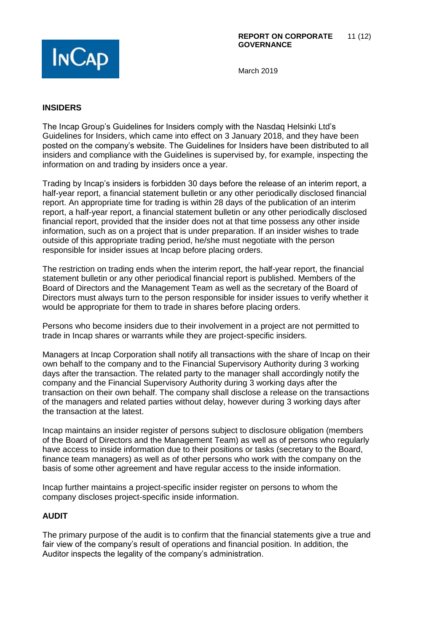

# **INSIDERS**

The Incap Group's Guidelines for Insiders comply with the Nasdaq Helsinki Ltd's Guidelines for Insiders, which came into effect on 3 January 2018, and they have been posted on the company's website. The Guidelines for Insiders have been distributed to all insiders and compliance with the Guidelines is supervised by, for example, inspecting the information on and trading by insiders once a year.

Trading by Incap's insiders is forbidden 30 days before the release of an interim report, a half-year report, a financial statement bulletin or any other periodically disclosed financial report. An appropriate time for trading is within 28 days of the publication of an interim report, a half-year report, a financial statement bulletin or any other periodically disclosed financial report, provided that the insider does not at that time possess any other inside information, such as on a project that is under preparation. If an insider wishes to trade outside of this appropriate trading period, he/she must negotiate with the person responsible for insider issues at Incap before placing orders.

The restriction on trading ends when the interim report, the half-year report, the financial statement bulletin or any other periodical financial report is published. Members of the Board of Directors and the Management Team as well as the secretary of the Board of Directors must always turn to the person responsible for insider issues to verify whether it would be appropriate for them to trade in shares before placing orders.

Persons who become insiders due to their involvement in a project are not permitted to trade in Incap shares or warrants while they are project-specific insiders.

Managers at Incap Corporation shall notify all transactions with the share of Incap on their own behalf to the company and to the Financial Supervisory Authority during 3 working days after the transaction. The related party to the manager shall accordingly notify the company and the Financial Supervisory Authority during 3 working days after the transaction on their own behalf. The company shall disclose a release on the transactions of the managers and related parties without delay, however during 3 working days after the transaction at the latest.

Incap maintains an insider register of persons subject to disclosure obligation (members of the Board of Directors and the Management Team) as well as of persons who regularly have access to inside information due to their positions or tasks (secretary to the Board, finance team managers) as well as of other persons who work with the company on the basis of some other agreement and have regular access to the inside information.

Incap further maintains a project-specific insider register on persons to whom the company discloses project-specific inside information.

# **AUDIT**

The primary purpose of the audit is to confirm that the financial statements give a true and fair view of the company's result of operations and financial position. In addition, the Auditor inspects the legality of the company's administration.